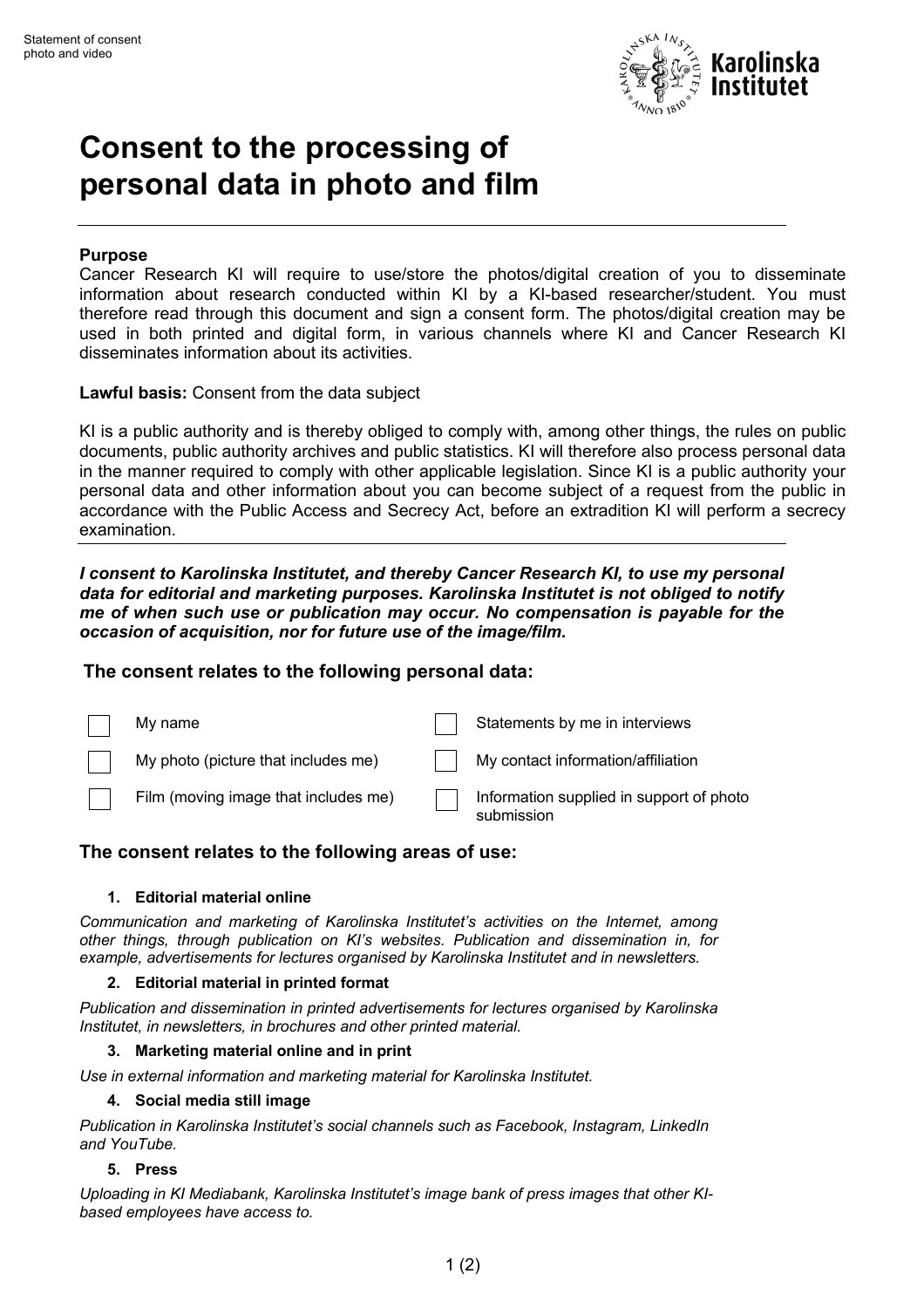

# **Consent to the processing of personal data in photo and film**

# **Purpose**

Cancer Research KI will require to use/store the photos/digital creation of you to disseminate information about research conducted within KI by a KI-based researcher/student. You must therefore read through this document and sign a consent form. The photos/digital creation may be used in both printed and digital form, in various channels where KI and Cancer Research KI disseminates information about its activities.

**Lawful basis:** Consent from the data subject

KI is a public authority and is thereby obliged to comply with, among other things, the rules on public documents, public authority archives and public statistics. KI will therefore also process personal data in the manner required to comply with other applicable legislation. Since KI is a public authority your personal data and other information about you can become subject of a request from the public in accordance with the Public Access and Secrecy Act, before an extradition KI will perform a secrecy examination.

*I consent to Karolinska Institutet, and thereby Cancer Research KI, to use my personal data for editorial and marketing purposes. Karolinska Institutet is not obliged to notify me of when such use or publication may occur. No compensation is payable for the occasion of acquisition, nor for future use of the image/film.*

# **The consent relates to the following personal data:**

| My name                              | Statements by me in interviews                         |
|--------------------------------------|--------------------------------------------------------|
| My photo (picture that includes me)  | My contact information/affiliation                     |
| Film (moving image that includes me) | Information supplied in support of photo<br>submission |

# **The consent relates to the following areas of use:**

#### **1. Editorial material online**

*Communication and marketing of Karolinska Institutet's activities on the Internet, among other things, through publication on KI's websites. Publication and dissemination in, for example, advertisements for lectures organised by Karolinska Institutet and in newsletters.*

#### **2. Editorial material in printed format**

*Publication and dissemination in printed advertisements for lectures organised by Karolinska Institutet, in newsletters, in brochures and other printed material.*

#### **3. Marketing material online and in print**

*Use in external information and marketing material for Karolinska Institutet.*

#### **4. Social media still image**

*Publication in Karolinska Institutet's social channels such as Facebook, Instagram, LinkedIn and YouTube.*

#### **5. Press**

*Uploading in KI Mediabank, Karolinska Institutet's image bank of press images that other KIbased employees have access to.*